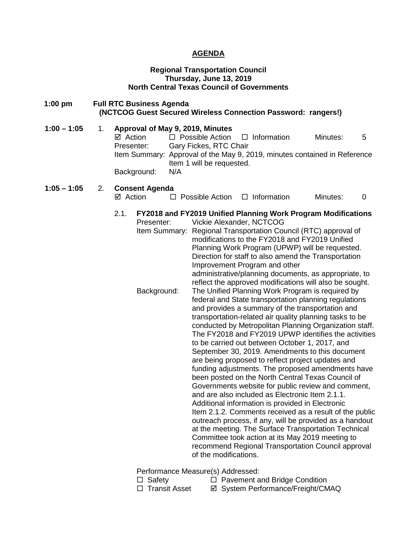# **AGENDA**

### **Regional Transportation Council Thursday, June 13, 2019 North Central Texas Council of Governments**

| $1:00$ pm     |    | <b>Full RTC Business Agenda</b>                                                     |     |                                                                               |                                                           | (NCTCOG Guest Secured Wireless Connection Password: rangers!)                                                                                                                                                                                                                                                                                                                                                                                                                                                                                                                                                                                                                                                                                                                                                                                                                                                                                                                                                                                                                                                                                                                                                                                                                                                                                                                                                                                                                            |   |
|---------------|----|-------------------------------------------------------------------------------------|-----|-------------------------------------------------------------------------------|-----------------------------------------------------------|------------------------------------------------------------------------------------------------------------------------------------------------------------------------------------------------------------------------------------------------------------------------------------------------------------------------------------------------------------------------------------------------------------------------------------------------------------------------------------------------------------------------------------------------------------------------------------------------------------------------------------------------------------------------------------------------------------------------------------------------------------------------------------------------------------------------------------------------------------------------------------------------------------------------------------------------------------------------------------------------------------------------------------------------------------------------------------------------------------------------------------------------------------------------------------------------------------------------------------------------------------------------------------------------------------------------------------------------------------------------------------------------------------------------------------------------------------------------------------------|---|
| $1:00 - 1:05$ | 1. | Approval of May 9, 2019, Minutes<br>$\boxtimes$ Action<br>Presenter:<br>Background: | N/A | $\Box$ Possible Action<br>Gary Fickes, RTC Chair<br>Item 1 will be requested. | $\Box$ Information                                        | Minutes:<br>Item Summary: Approval of the May 9, 2019, minutes contained in Reference                                                                                                                                                                                                                                                                                                                                                                                                                                                                                                                                                                                                                                                                                                                                                                                                                                                                                                                                                                                                                                                                                                                                                                                                                                                                                                                                                                                                    | 5 |
| $1:05 - 1:05$ | 2. | <b>Consent Agenda</b><br>⊠ Action                                                   |     | $\Box$ Possible Action                                                        | $\Box$ Information                                        | Minutes:                                                                                                                                                                                                                                                                                                                                                                                                                                                                                                                                                                                                                                                                                                                                                                                                                                                                                                                                                                                                                                                                                                                                                                                                                                                                                                                                                                                                                                                                                 | 0 |
|               |    | 2.1.<br>Presenter:<br>Background:                                                   |     | of the modifications.                                                         | Vickie Alexander, NCTCOG<br>Improvement Program and other | FY2018 and FY2019 Unified Planning Work Program Modifications<br>Item Summary: Regional Transportation Council (RTC) approval of<br>modifications to the FY2018 and FY2019 Unified<br>Planning Work Program (UPWP) will be requested.<br>Direction for staff to also amend the Transportation<br>administrative/planning documents, as appropriate, to<br>reflect the approved modifications will also be sought.<br>The Unified Planning Work Program is required by<br>federal and State transportation planning regulations<br>and provides a summary of the transportation and<br>transportation-related air quality planning tasks to be<br>conducted by Metropolitan Planning Organization staff.<br>The FY2018 and FY2019 UPWP identifies the activities<br>to be carried out between October 1, 2017, and<br>September 30, 2019. Amendments to this document<br>are being proposed to reflect project updates and<br>funding adjustments. The proposed amendments have<br>been posted on the North Central Texas Council of<br>Governments website for public review and comment,<br>and are also included as Electronic Item 2.1.1.<br>Additional information is provided in Electronic<br>Item 2.1.2. Comments received as a result of the public<br>outreach process, if any, will be provided as a handout<br>at the meeting. The Surface Transportation Technical<br>Committee took action at its May 2019 meeting to<br>recommend Regional Transportation Council approval |   |

Performance Measure(s) Addressed:<br>□ Safety □ Pavement a

- □ Safety □ Pavement and Bridge Condition<br>□ Transit Asset □ System Performance/Freight/CM
	- ⊠ System Performance/Freight/CMAQ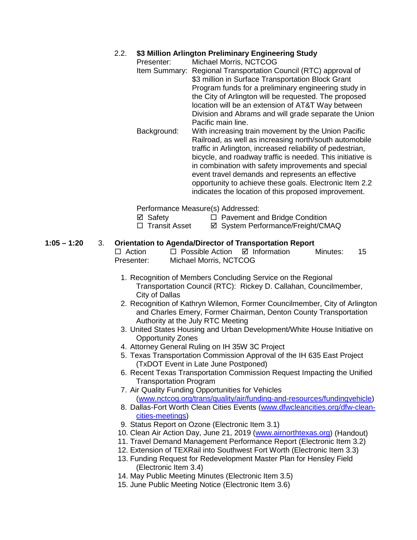# 2.2. **\$3 Million Arlington Preliminary Engineering Study**

- Presenter: Michael Morris, NCTCOG Item Summary: Regional Transportation Council (RTC) approval of \$3 million in Surface Transportation Block Grant Program funds for a preliminary engineering study in the City of Arlington will be requested. The proposed location will be an extension of AT&T Way between Division and Abrams and will grade separate the Union Pacific main line. Background: With increasing train movement by the Union Pacific
	- Railroad, as well as increasing north/south automobile traffic in Arlington, increased reliability of pedestrian, bicycle, and roadway traffic is needed. This initiative is in combination with safety improvements and special event travel demands and represents an effective opportunity to achieve these goals. Electronic Item 2.2 indicates the location of this proposed improvement.

Performance Measure(s) Addressed:

- 
- $\boxtimes$  Safety  $\Box$  Pavement and Bridge Condition

□ Transit Asset  $\Box$  System Performance/Freight/CMAQ

# **1:05 – 1:20** 3. **Orientation to Agenda/Director of Transportation Report**

| $\Box$ Action | $\Box$ Possible Action $\Box$ Information | Minutes: | 15 |
|---------------|-------------------------------------------|----------|----|
| Presenter:    | Michael Morris, NCTCOG                    |          |    |

- 1. Recognition of Members Concluding Service on the Regional Transportation Council (RTC): Rickey D. Callahan, Councilmember, City of Dallas
- 2. Recognition of Kathryn Wilemon, Former Councilmember, City of Arlington and Charles Emery, Former Chairman, Denton County Transportation Authority at the July RTC Meeting
- 3. United States Housing and Urban Development/White House Initiative on Opportunity Zones
- 4. Attorney General Ruling on IH 35W 3C Project
- 5. Texas Transportation Commission Approval of the IH 635 East Project (TxDOT Event in Late June Postponed)
- 6. Recent Texas Transportation Commission Request Impacting the Unified Transportation Program
- 7. Air Quality Funding Opportunities for Vehicles [\(www.nctcog.org/trans/quality/air/funding-and-resources/fundingvehicle\)](http://www.nctcog.org/trans/quality/air/funding-and-resources/fundingvehicle)
- 8. Dallas-Fort Worth Clean Cities Events [\(www.dfwcleancities.org/dfw-clean](http://www.dfwcleancities.org/dfw-clean-cities-meetings)[cities-meetings\)](http://www.dfwcleancities.org/dfw-clean-cities-meetings)
- 9. Status Report on Ozone (Electronic Item 3.1)
- 10. Clean Air Action Day, June 21, 2019 [\(www.airnorthtexas.org\)](http://www.airnorthtexas.org/) (Handout)
- 11. Travel Demand Management Performance Report (Electronic Item 3.2)
- 12. Extension of TEXRail into Southwest Fort Worth (Electronic Item 3.3)
- 13. Funding Request for Redevelopment Master Plan for Hensley Field (Electronic Item 3.4)
- 14. May Public Meeting Minutes (Electronic Item 3.5)
- 15. June Public Meeting Notice (Electronic Item 3.6)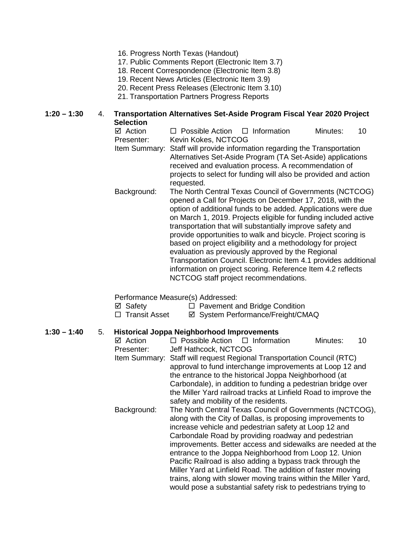- 16. Progress North Texas (Handout)
- 17. Public Comments Report (Electronic Item 3.7)
- 18. Recent Correspondence (Electronic Item 3.8)
- 19. Recent News Articles (Electronic Item 3.9)
- 20. Recent Press Releases (Electronic Item 3.10)
- 21. Transportation Partners Progress Reports

### **1:20 – 1:30** 4. **Transportation Alternatives Set-Aside Program Fiscal Year 2020 Project Selection**

- $\boxtimes$  Action **D** Possible Action **D** Information Minutes: 10<br>Presenter: Kevin Kokes. NCTCOG Kevin Kokes, NCTCOG Item Summary: Staff will provide information regarding the Transportation Alternatives Set-Aside Program (TA Set-Aside) applications
	- received and evaluation process. A recommendation of projects to select for funding will also be provided and action requested.
- Background: The North Central Texas Council of Governments (NCTCOG) opened a Call for Projects on December 17, 2018, with the option of additional funds to be added. Applications were due on March 1, 2019. Projects eligible for funding included active transportation that will substantially improve safety and provide opportunities to walk and bicycle. Project scoring is based on project eligibility and a methodology for project evaluation as previously approved by the Regional Transportation Council. Electronic Item 4.1 provides additional information on project scoring. Reference Item 4.2 reflects NCTCOG staff project recommendations.

Performance Measure(s) Addressed:

- $\boxtimes$  Safety  $\Box$  Pavement and Bridge Condition
- □ Transit Asset <br>  $\Box$  Transit Asset <br>  $\Box$  System Performance/Freight/CMAQ

### **1:30 – 1:40** 5. **Historical Joppa Neighborhood Improvements**

 $\boxtimes$  Action  $\Box$  Possible Action  $\Box$  Information Minutes: 10 Presenter: Jeff Hathcock, NCTCOG Item Summary: Staff will request Regional Transportation Council (RTC) approval to fund interchange improvements at Loop 12 and the entrance to the historical Joppa Neighborhood (at Carbondale), in addition to funding a pedestrian bridge over the Miller Yard railroad tracks at Linfield Road to improve the safety and mobility of the residents. Background: The North Central Texas Council of Governments (NCTCOG), along with the City of Dallas, is proposing improvements to increase vehicle and pedestrian safety at Loop 12 and Carbondale Road by providing roadway and pedestrian improvements. Better access and sidewalks are needed at the entrance to the Joppa Neighborhood from Loop 12. Union Pacific Railroad is also adding a bypass track through the Miller Yard at Linfield Road. The addition of faster moving trains, along with slower moving trains within the Miller Yard, would pose a substantial safety risk to pedestrians trying to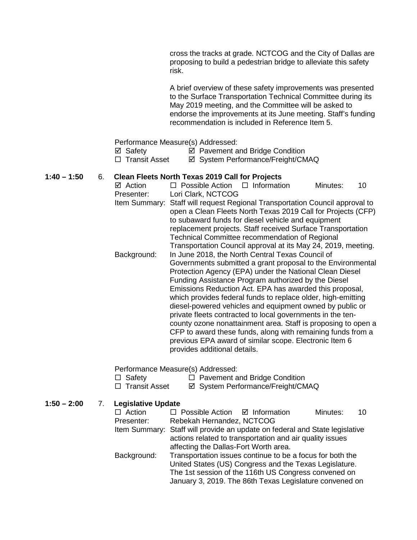cross the tracks at grade. NCTCOG and the City of Dallas are proposing to build a pedestrian bridge to alleviate this safety risk.

A brief overview of these safety improvements was presented to the Surface Transportation Technical Committee during its May 2019 meeting, and the Committee will be asked to endorse the improvements at its June meeting. Staff's funding recommendation is included in Reference Item 5.

Performance Measure(s) Addressed:

 $\boxtimes$  Safety  $\boxtimes$  Pavement and Bridge Condition

□ Transit Asset <br>  $\Box$  Transit Asset <br>  $\Box$  System Performance/Freight/CMAQ

#### **1:40 – 1:50** 6. **Clean Fleets North Texas 2019 Call for Projects**

 $\boxtimes$  Action  $\Box$  Possible Action  $\Box$  Information Minutes: 10 Presenter: Lori Clark, NCTCOG Item Summary: Staff will request Regional Transportation Council approval to open a Clean Fleets North Texas 2019 Call for Projects (CFP) to subaward funds for diesel vehicle and equipment replacement projects. Staff received Surface Transportation Technical Committee recommendation of Regional Transportation Council approval at its May 24, 2019, meeting. Background: In June 2018, the North Central Texas Council of Governments submitted a grant proposal to the Environmental Protection Agency (EPA) under the National Clean Diesel Funding Assistance Program authorized by the Diesel Emissions Reduction Act. EPA has awarded this proposal, which provides federal funds to replace older, high-emitting diesel-powered vehicles and equipment owned by public or private fleets contracted to local governments in the tencounty ozone nonattainment area. Staff is proposing to open a CFP to award these funds, along with remaining funds from a previous EPA award of similar scope. Electronic Item 6 provides additional details.

Performance Measure(s) Addressed:

Safety Pavement and Bridge Condition

 $\boxtimes$  System Performance/Freight/CMAQ

**1:50 – 2:00** 7. **Legislative Update**  $\Box$  Possible Action  $\Box$  Information Minutes: 10 Presenter: Rebekah Hernandez, NCTCOG Item Summary: Staff will provide an update on federal and State legislative actions related to transportation and air quality issues affecting the Dallas-Fort Worth area. Background: Transportation issues continue to be a focus for both the United States (US) Congress and the Texas Legislature. The 1st session of the 116th US Congress convened on January 3, 2019. The 86th Texas Legislature convened on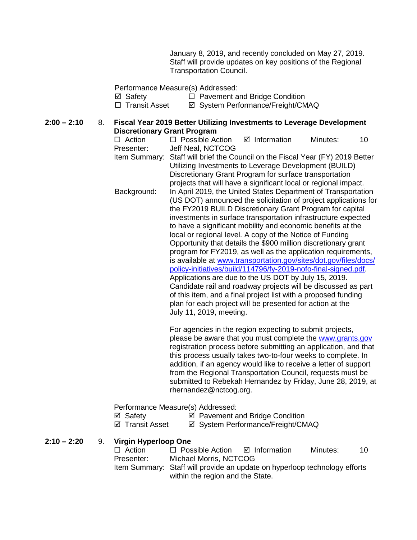January 8, 2019, and recently concluded on May 27, 2019. Staff will provide updates on key positions of the Regional Transportation Council.

Performance Measure(s) Addressed:

⊠ Safety <br>
□ Pavement and Bridge Condition<br>
□ Transit Asset <br>
⊠ System Performance/Freight/CM

**Ø System Performance/Freight/CMAQ** 

#### **2:00 – 2:10** 8. **Fiscal Year 2019 Better Utilizing Investments to Leverage Development Discretionary Grant Program**

| $\Box$ Action | $\Box$ Possible Action                                           |  | ⊠ Information | Minutes: | 10 |  |
|---------------|------------------------------------------------------------------|--|---------------|----------|----|--|
| Presenter:    | Jeff Neal, NCTCOG                                                |  |               |          |    |  |
| Item Summary: | Staff will brief the Council on the Fiscal Year (FY) 2019 Better |  |               |          |    |  |
|               | Utilizing Investments to Leverage Development (BUILD)            |  |               |          |    |  |
|               | Discretionary Grant Program for surface transportation           |  |               |          |    |  |
|               | projects that will have a significant local or regional impact.  |  |               |          |    |  |
| Background:   | In April 2019, the United States Department of Transportation    |  |               |          |    |  |
|               | (US DOT) announced the solicitation of project applications for  |  |               |          |    |  |
|               | the FY2019 BUILD Discretionary Grant Program for capital         |  |               |          |    |  |
|               | investments in surface transportation infrastructure expected    |  |               |          |    |  |
|               | to have a significant mobility and economic benefits at the      |  |               |          |    |  |
|               | local or regional level. A copy of the Notice of Funding         |  |               |          |    |  |
|               | Opportunity that details the \$900 million discretionary grant   |  |               |          |    |  |
|               | program for FY2019, as well as the application requirements,     |  |               |          |    |  |
|               | is available at www.transportation.gov/sites/dot.gov/files/docs/ |  |               |          |    |  |
|               | policy-initiatives/build/114796/fy-2019-nofo-final-signed.pdf.   |  |               |          |    |  |
|               | Applications are due to the US DOT by July 15, 2019.             |  |               |          |    |  |
|               | Candidate rail and roadway projects will be discussed as part    |  |               |          |    |  |
|               | of this item, and a final project list with a proposed funding   |  |               |          |    |  |
|               | plan for each project will be presented for action at the        |  |               |          |    |  |
|               | July 11, 2019, meeting.                                          |  |               |          |    |  |
|               |                                                                  |  |               |          |    |  |

For agencies in the region expecting to submit projects, please be aware that you must complete the [www.grants.gov](http://www.grants.gov/) registration process before submitting an application, and that this process usually takes two-to-four weeks to complete. In addition, if an agency would like to receive a letter of support from the Regional Transportation Council, requests must be submitted to Rebekah Hernandez by Friday, June 28, 2019, at rhernandez@nctcog.org.

Performance Measure(s) Addressed:

<p>✓ Safety</p>\n<p>✓ Payment and Bridge Condition</p>\n<p>✓ Transform</p>\n<p>✓ System Performance/Freight/CM</p>

**Ø System Performance/Freight/CMAQ** 

**2:10 – 2:20** 9. **Virgin Hyperloop One**

| $\Box$ Action | $\Box$ Possible Action                                                     | ⊠ Information | Minutes: | 10. |
|---------------|----------------------------------------------------------------------------|---------------|----------|-----|
| Presenter:    | Michael Morris, NCTCOG                                                     |               |          |     |
|               | Item Summary: Staff will provide an update on hyperloop technology efforts |               |          |     |

within the region and the State.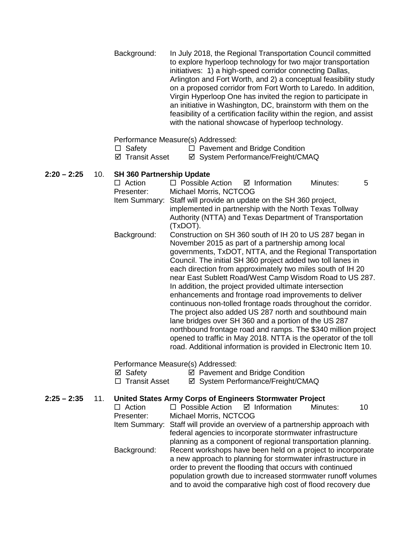Background: In July 2018, the Regional Transportation Council committed to explore hyperloop technology for two major transportation initiatives: 1) a high-speed corridor connecting Dallas, Arlington and Fort Worth, and 2) a conceptual feasibility study on a proposed corridor from Fort Worth to Laredo. In addition, Virgin Hyperloop One has invited the region to participate in an initiative in Washington, DC, brainstorm with them on the feasibility of a certification facility within the region, and assist with the national showcase of hyperloop technology.

#### Performance Measure(s) Addressed:

- $\Box$  Safety  $\Box$  Pavement and Bridge Condition
- ⊠ Transit Asset **I** System Performance/Freight/CMAQ

### **2:20 – 2:25** 10. **SH 360 Partnership Update**

 $\Box$  Action  $\Box$  Possible Action  $\Box$  Information Minutes: 5 Presenter: Michael Morris, NCTCOG Item Summary: Staff will provide an update on the SH 360 project, implemented in partnership with the North Texas Tollway Authority (NTTA) and Texas Department of Transportation (TxDOT). Background: Construction on SH 360 south of IH 20 to US 287 began in November 2015 as part of a partnership among local governments, TxDOT, NTTA, and the Regional Transportation Council. The initial SH 360 project added two toll lanes in each direction from approximately two miles south of IH 20 near East Sublett Road/West Camp Wisdom Road to US 287.

In addition, the project provided ultimate intersection enhancements and frontage road improvements to deliver continuous non-tolled frontage roads throughout the corridor. The project also added US 287 north and southbound main lane bridges over SH 360 and a portion of the US 287 northbound frontage road and ramps. The \$340 million project opened to traffic in May 2018. NTTA is the operator of the toll road. Additional information is provided in Electronic Item 10.

Performance Measure(s) Addressed:

- $\boxtimes$  Safety  $\boxtimes$  Pavement and Bridge Condition
- □ Transit Asset  $\Box$  System Performance/Freight/CMAQ

# **2:25 – 2:35** 11. **United States Army Corps of Engineers Stormwater Project**

| $\Box$ Action | $\Box$ Possible Action $\Box$ Information                                   |  | Minutes: | 10 |  |  |
|---------------|-----------------------------------------------------------------------------|--|----------|----|--|--|
| Presenter:    | Michael Morris, NCTCOG                                                      |  |          |    |  |  |
|               | Item Summary: Staff will provide an overview of a partnership approach with |  |          |    |  |  |
|               | federal agencies to incorporate stormwater infrastructure                   |  |          |    |  |  |
|               | planning as a component of regional transportation planning.                |  |          |    |  |  |
| Background:   | Recent workshops have been held on a project to incorporate                 |  |          |    |  |  |
|               | a new approach to planning for stormwater infrastructure in                 |  |          |    |  |  |
|               | order to prevent the flooding that occurs with continued                    |  |          |    |  |  |
|               | population growth due to increased stormwater runoff volumes                |  |          |    |  |  |
|               | and to avoid the comparative high cost of flood recovery due                |  |          |    |  |  |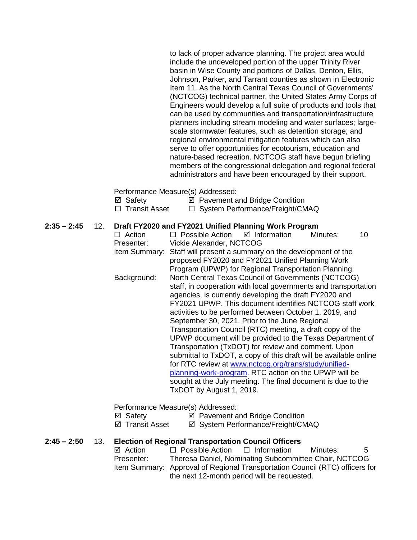to lack of proper advance planning. The project area would include the undeveloped portion of the upper Trinity River basin in Wise County and portions of Dallas, Denton, Ellis, Johnson, Parker, and Tarrant counties as shown in Electronic Item 11. As the North Central Texas Council of Governments' (NCTCOG) technical partner, the United States Army Corps of Engineers would develop a full suite of products and tools that can be used by communities and transportation/infrastructure planners including stream modeling and water surfaces; largescale stormwater features, such as detention storage; and regional environmental mitigation features which can also serve to offer opportunities for ecotourism, education and nature-based recreation. NCTCOG staff have begun briefing members of the congressional delegation and regional federal administrators and have been encouraged by their support.

Performance Measure(s) Addressed:

| ⊠ Safety        | ☑ Pavement and Bridge Condition   |
|-----------------|-----------------------------------|
| □ Transit Asset | □ System Performance/Freight/CMAQ |

#### **2:35 – 2:45** 12. **Draft FY2020 and FY2021 Unified Planning Work Program**

| $\Box$ Action | $\Box$ Possible Action $\Box$ Information                         |  | Minutes: | 10 |  |  |
|---------------|-------------------------------------------------------------------|--|----------|----|--|--|
| Presenter:    | Vickie Alexander, NCTCOG                                          |  |          |    |  |  |
| Item Summary: | Staff will present a summary on the development of the            |  |          |    |  |  |
|               | proposed FY2020 and FY2021 Unified Planning Work                  |  |          |    |  |  |
|               | Program (UPWP) for Regional Transportation Planning.              |  |          |    |  |  |
| Background:   | North Central Texas Council of Governments (NCTCOG)               |  |          |    |  |  |
|               | staff, in cooperation with local governments and transportation   |  |          |    |  |  |
|               | agencies, is currently developing the draft FY2020 and            |  |          |    |  |  |
|               | FY2021 UPWP. This document identifies NCTCOG staff work           |  |          |    |  |  |
|               | activities to be performed between October 1, 2019, and           |  |          |    |  |  |
|               | September 30, 2021. Prior to the June Regional                    |  |          |    |  |  |
|               | Transportation Council (RTC) meeting, a draft copy of the         |  |          |    |  |  |
|               | UPWP document will be provided to the Texas Department of         |  |          |    |  |  |
|               | Transportation (TxDOT) for review and comment. Upon               |  |          |    |  |  |
|               | submittal to TxDOT, a copy of this draft will be available online |  |          |    |  |  |
|               | for RTC review at www.nctcog.org/trans/study/unified-             |  |          |    |  |  |
|               | planning-work-program. RTC action on the UPWP will be             |  |          |    |  |  |
|               | sought at the July meeting. The final document is due to the      |  |          |    |  |  |
|               | TxDOT by August 1, 2019.                                          |  |          |    |  |  |
|               |                                                                   |  |          |    |  |  |

Performance Measure(s) Addressed:

- $\boxtimes$  Safety  $\boxtimes$  Pavement and Bridge Condition
- ⊠ Transit Asset **II System Performance/Freight/CMAQ**

# **2:45 – 2:50** 13. **Election of Regional Transportation Council Officers**

 $\boxtimes$  Action  $\Box$  Possible Action  $\Box$  Information Minutes: 5 Presenter: Theresa Daniel, Nominating Subcommittee Chair, NCTCOG Item Summary: Approval of Regional Transportation Council (RTC) officers for the next 12-month period will be requested.